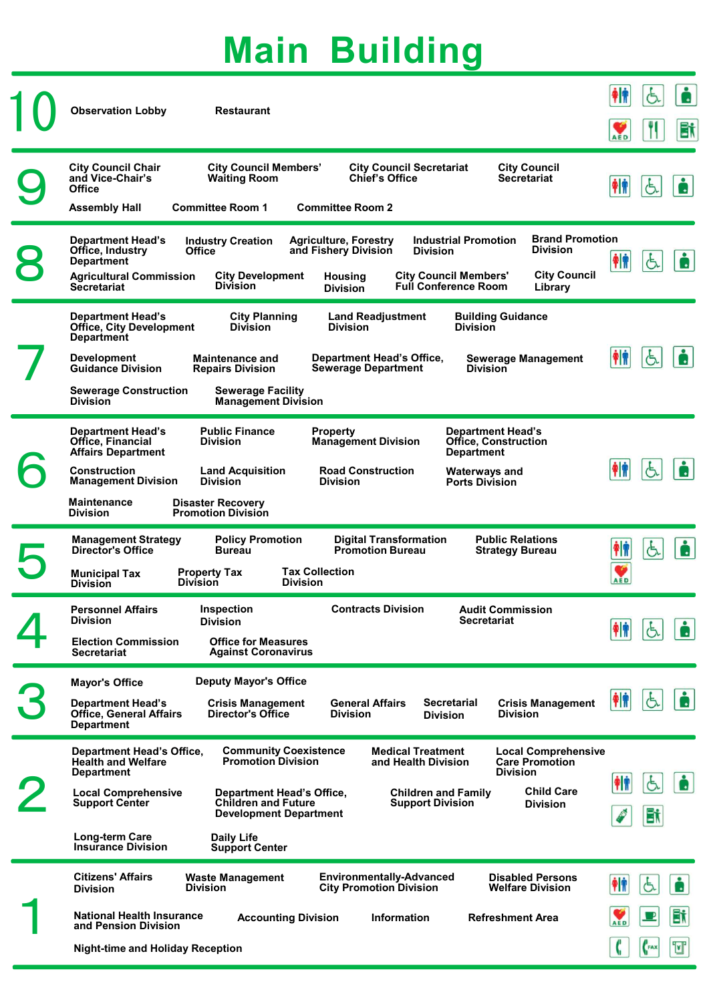| <b>Observation Lobby</b><br><b>Restaurant</b>                                                                                                                                                                                                                                                                                                                                                                                                                                                                                                                                                                                        | ŧ₩                                       | Ġ               | ė<br>Bi |
|--------------------------------------------------------------------------------------------------------------------------------------------------------------------------------------------------------------------------------------------------------------------------------------------------------------------------------------------------------------------------------------------------------------------------------------------------------------------------------------------------------------------------------------------------------------------------------------------------------------------------------------|------------------------------------------|-----------------|---------|
| <b>City Council Chair</b><br><b>City Council Members'</b><br><b>City Council Secretariat</b><br><b>City Council</b><br><b>Chief's Office</b><br>and Vice-Chair's<br><b>Waiting Room</b><br><b>Secretariat</b><br><b>Office</b><br><b>Committee Room 1</b><br><b>Committee Room 2</b><br><b>Assembly Hall</b>                                                                                                                                                                                                                                                                                                                         | AED<br>个价                                | $\sigma$        | Å       |
| <b>Brand Promotion</b><br><b>Industrial Promotion</b><br><b>Department Head's</b><br><b>Agriculture, Forestry</b><br><b>Industry Creation</b><br><b>Division</b><br>Office, Industry<br><b>Office</b><br>and Fishery Division<br><b>Division</b><br><b>Department</b><br><b>City Council</b><br><b>City Development</b><br><b>City Council Members'</b><br><b>Agricultural Commission</b><br><b>Housing</b><br><b>Division</b><br><b>Full Conference Room</b><br><b>Secretariat</b><br>Library<br><b>Division</b>                                                                                                                    | 钟                                        | G.              | 6       |
| <b>Department Head's</b><br><b>City Planning</b><br><b>Building Guidance</b><br><b>Land Readjustment</b><br><b>Office, City Development</b><br><b>Division</b><br><b>Division</b><br><b>Division</b><br><b>Department</b><br><b>Department Head's Office,</b><br><b>Sewerage Management</b><br><b>Development</b><br><b>Maintenance and</b><br><b>Guidance Division</b><br><b>Sewerage Department</b><br><b>Repairs Division</b><br><b>Division</b><br><b>Sewerage Construction</b><br><b>Sewerage Facility</b><br><b>Division</b><br><b>Management Division</b>                                                                     | $\frac{1}{2}$                            | Ġ.              | Ė       |
| <b>Public Finance</b><br><b>Department Head's</b><br><b>Property</b><br><b>Department Head's</b><br>Office, Financial<br><b>Management Division</b><br><b>Division</b><br><b>Office, Construction</b><br><b>Affairs Department</b><br><b>Department</b><br><b>Construction</b><br><b>Road Construction</b><br><b>Land Acquisition</b><br><b>Waterways and</b><br><b>Management Division</b><br><b>Division</b><br><b>Division</b><br><b>Ports Division</b><br><b>Maintenance</b><br><b>Disaster Recovery</b><br><b>Division</b><br><b>Promotion Division</b>                                                                         | 钟                                        | $\sigma$        | ė       |
| <b>Policy Promotion</b><br><b>Public Relations</b><br><b>Management Strategy</b><br><b>Digital Transformation</b><br>Director's Office<br><b>Bureau</b><br><b>Promotion Bureau</b><br><b>Strategy Bureau</b><br><b>Tax Collection</b><br><b>Property Tax</b><br><b>Municipal Tax</b><br><b>Division</b><br><b>Division</b><br><b>Division</b>                                                                                                                                                                                                                                                                                        | $\frac{1}{2}$<br>$\bullet$<br><b>AED</b> | $\mathfrak{F}$  | à       |
| <b>Contracts Division</b><br>Inspection<br><b>Personnel Affairs</b><br><b>Audit Commission</b><br><b>Division</b><br><b>Secretariat</b><br><b>Division</b><br><b>Office for Measures</b><br><b>Election Commission</b><br><b>Against Coronavirus</b><br><b>Secretariat</b>                                                                                                                                                                                                                                                                                                                                                           | $  \dot{\mathbf{r}}  $                   | Ġ               | ė       |
| <b>Deputy Mayor's Office</b><br><b>Mayor's Office</b><br><b>Department Head's</b><br><b>General Affairs</b><br><b>Secretarial</b><br><b>Crisis Management</b><br><b>Crisis Management</b><br><b>Office, General Affairs</b><br>Director's Office<br><b>Division</b><br><b>Division</b><br><b>Division</b><br><b>Department</b>                                                                                                                                                                                                                                                                                                       | 伸                                        | $\mathfrak{F}$  | ė       |
| <b>Community Coexistence</b><br><b>Medical Treatment</b><br><b>Local Comprehensive</b><br><b>Department Head's Office,</b><br><b>Health and Welfare</b><br><b>Promotion Division</b><br><b>Care Promotion</b><br>and Health Division<br><b>Division</b><br><b>Department</b><br><b>Child Care</b><br><b>Local Comprehensive</b><br><b>Department Head's Office,</b><br><b>Children and Family</b><br><b>Children and Future</b><br><b>Support Center</b><br><b>Support Division</b><br><b>Division</b><br><b>Development Department</b><br>Long-term Care<br><b>Daily Life</b><br><b>Insurance Division</b><br><b>Support Center</b> | 神<br>S<br>$\bullet$                      | Ġ.<br><b>Bt</b> | ė       |
| <b>Citizens' Affairs</b><br><b>Environmentally-Advanced</b><br><b>Waste Management</b><br><b>Disabled Persons</b><br><b>City Promotion Division</b><br><b>Division</b><br><b>Welfare Division</b><br><b>Division</b><br><b>National Health Insurance</b><br><b>Accounting Division</b><br><b>Information</b><br><b>Refreshment Area</b><br>and Pension Division<br><b>Night-time and Holiday Reception</b>                                                                                                                                                                                                                           | 帕<br>AED<br>G                            | Ġ<br>FAX        | Bi<br>T |